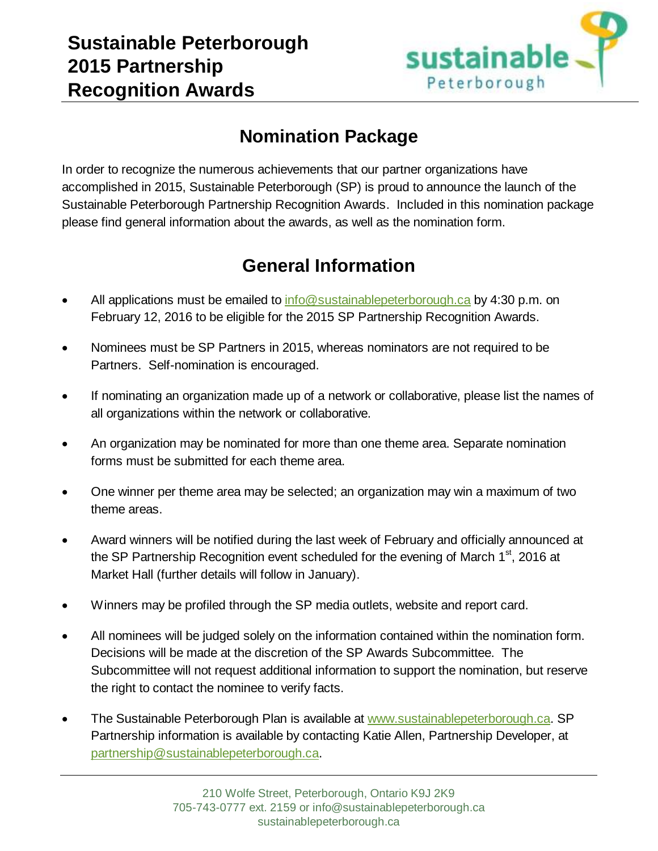

## **Nomination Package**

In order to recognize the numerous achievements that our partner organizations have accomplished in 2015, Sustainable Peterborough (SP) is proud to announce the launch of the Sustainable Peterborough Partnership Recognition Awards. Included in this nomination package please find general information about the awards, as well as the nomination form.

# **General Information**

- All applications must be emailed to [info@sustainablepeterborough.ca](mailto:info@sustainablepeterborough.ca) by 4:30 p.m. on February 12, 2016 to be eligible for the 2015 SP Partnership Recognition Awards.
- Nominees must be SP Partners in 2015, whereas nominators are not required to be Partners. Self-nomination is encouraged.
- If nominating an organization made up of a network or collaborative, please list the names of all organizations within the network or collaborative.
- An organization may be nominated for more than one theme area. Separate nomination forms must be submitted for each theme area.
- One winner per theme area may be selected; an organization may win a maximum of two theme areas.
- Award winners will be notified during the last week of February and officially announced at the SP Partnership Recognition event scheduled for the evening of March  $1<sup>st</sup>$ , 2016 at Market Hall (further details will follow in January).
- Winners may be profiled through the SP media outlets, website and report card.
- All nominees will be judged solely on the information contained within the nomination form. Decisions will be made at the discretion of the SP Awards Subcommittee. The Subcommittee will not request additional information to support the nomination, but reserve the right to contact the nominee to verify facts.
- The Sustainable Peterborough Plan is available at [www.sustainablepeterborough.ca.](http://www.sustainablepeterborough.ca/) SP Partnership information is available by contacting Katie Allen, Partnership Developer, at [partnership@sustainablepeterborough.ca.](mailto:partnership@sustainablepeterborough.ca)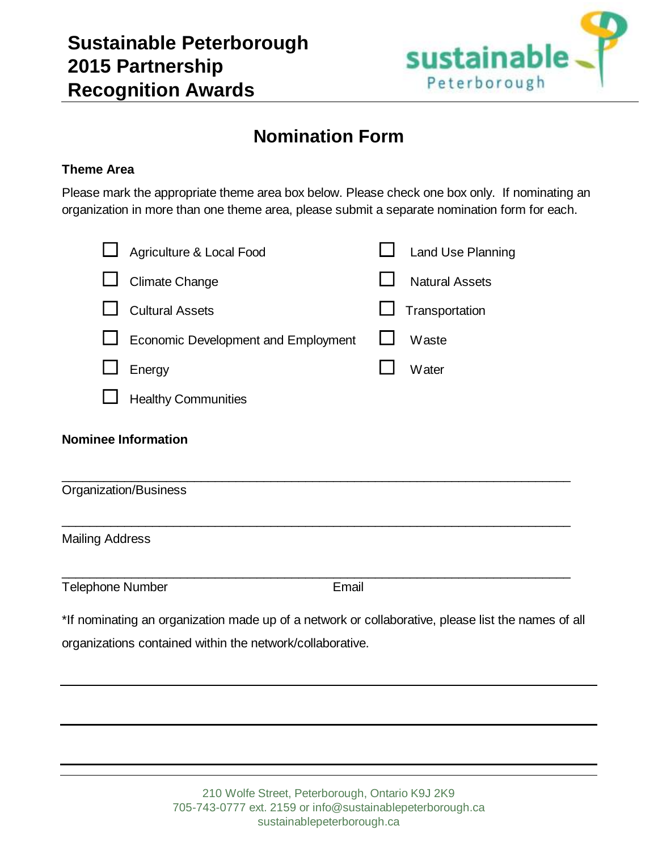

### **Nomination Form**

#### **Theme Area**

Please mark the appropriate theme area box below. Please check one box only. If nominating an organization in more than one theme area, please submit a separate nomination form for each.

|                              | Agriculture & Local Food                                                                           |       | <b>Land Use Planning</b> |
|------------------------------|----------------------------------------------------------------------------------------------------|-------|--------------------------|
|                              | <b>Climate Change</b>                                                                              |       | <b>Natural Assets</b>    |
|                              | <b>Cultural Assets</b>                                                                             |       | Transportation           |
|                              | Economic Development and Employment                                                                |       | Waste                    |
|                              | Energy                                                                                             |       | Water                    |
|                              | <b>Healthy Communities</b>                                                                         |       |                          |
| <b>Organization/Business</b> | <b>Nominee Information</b>                                                                         |       |                          |
| <b>Mailing Address</b>       |                                                                                                    |       |                          |
| <b>Telephone Number</b>      |                                                                                                    | Email |                          |
|                              | *If nominating an organization made up of a network or collaborative, please list the names of all |       |                          |
|                              | organizations contained within the network/collaborative.                                          |       |                          |